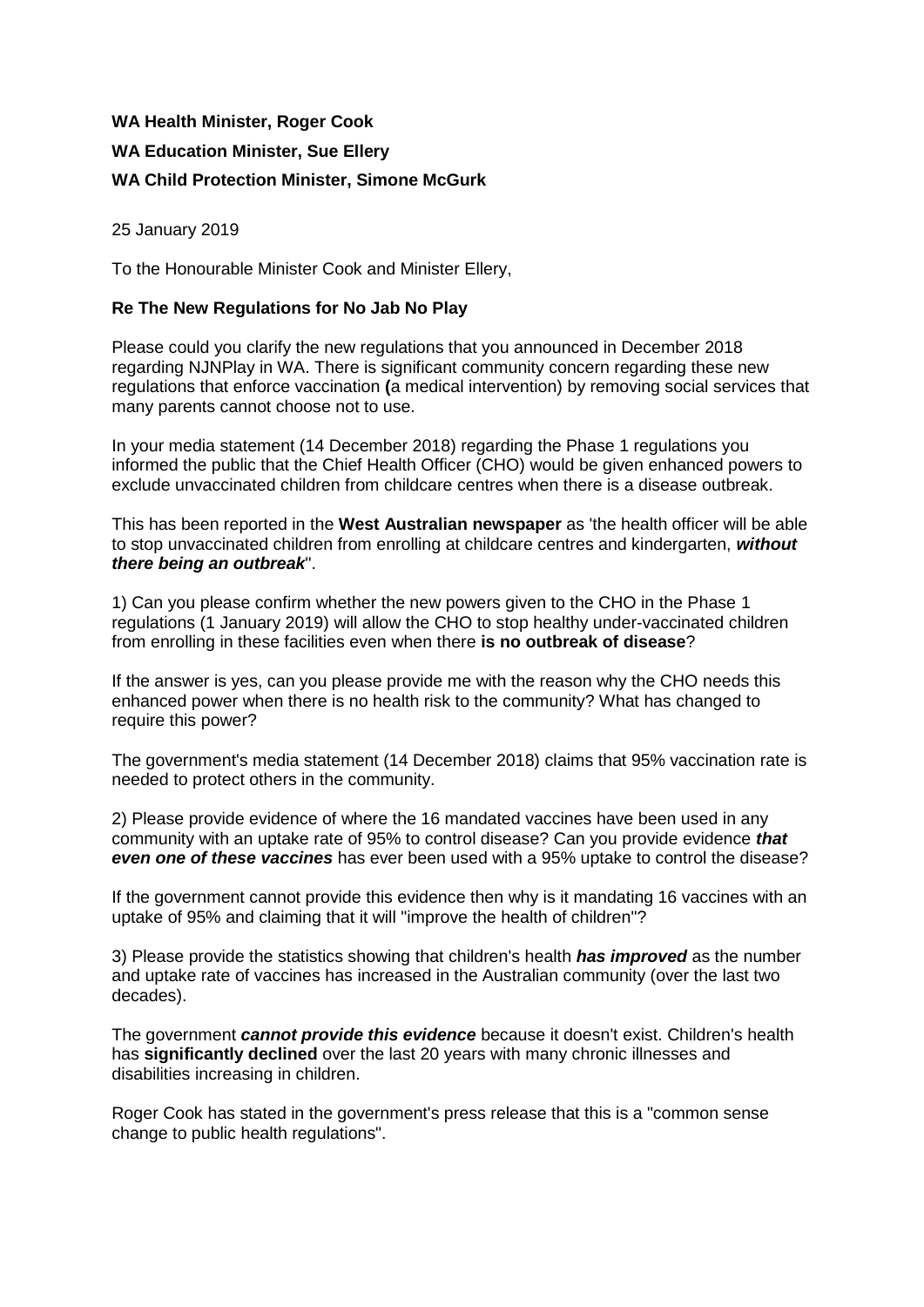## **WA Health Minister, Roger Cook WA Education Minister, Sue Ellery WA Child Protection Minister, Simone McGurk**

25 January 2019

To the Honourable Minister Cook and Minister Ellery,

## **Re The New Regulations for No Jab No Play**

Please could you clarify the new regulations that you announced in December 2018 regarding NJNPlay in WA. There is significant community concern regarding these new regulations that enforce vaccination **(**a medical intervention) by removing social services that many parents cannot choose not to use.

In your media statement (14 December 2018) regarding the Phase 1 regulations you informed the public that the Chief Health Officer (CHO) would be given enhanced powers to exclude unvaccinated children from childcare centres when there is a disease outbreak.

This has been reported in the **West Australian newspaper** as 'the health officer will be able to stop unvaccinated children from enrolling at childcare centres and kindergarten, *without there being an outbreak*".

1) Can you please confirm whether the new powers given to the CHO in the Phase 1 regulations (1 January 2019) will allow the CHO to stop healthy under-vaccinated children from enrolling in these facilities even when there **is no outbreak of disease**?

If the answer is yes, can you please provide me with the reason why the CHO needs this enhanced power when there is no health risk to the community? What has changed to require this power?

The government's media statement (14 December 2018) claims that 95% vaccination rate is needed to protect others in the community.

2) Please provide evidence of where the 16 mandated vaccines have been used in any community with an uptake rate of 95% to control disease? Can you provide evidence *that even one of these vaccines* has ever been used with a 95% uptake to control the disease?

If the government cannot provide this evidence then why is it mandating 16 vaccines with an uptake of 95% and claiming that it will "improve the health of children"?

3) Please provide the statistics showing that children's health *has improved* as the number and uptake rate of vaccines has increased in the Australian community (over the last two decades).

The government *cannot provide this evidence* because it doesn't exist. Children's health has **significantly declined** over the last 20 years with many chronic illnesses and disabilities increasing in children.

Roger Cook has stated in the government's press release that this is a "common sense change to public health regulations".